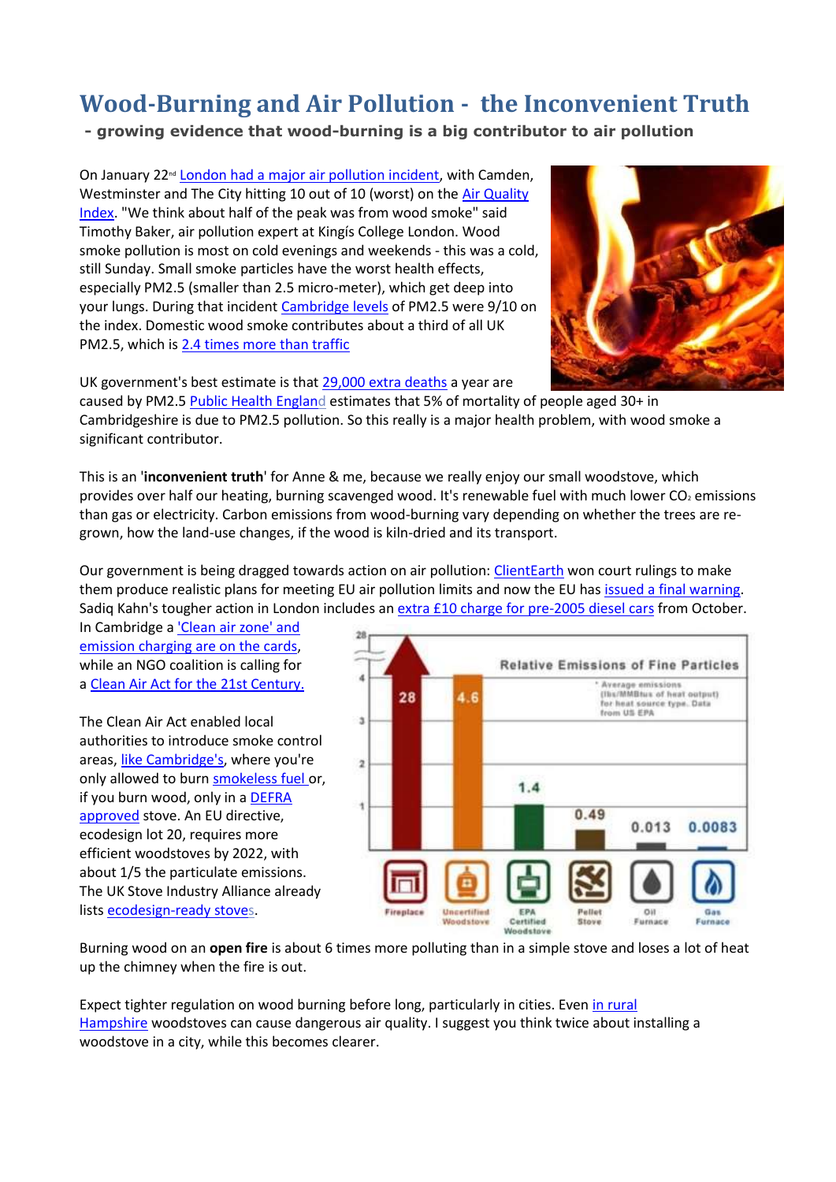## **Wood-Burning and Air Pollution - the Inconvenient Truth**

**- growing evidence that wood-burning is a big contributor to air pollution**

On January 22<sup>nd</sup> [London had a major air pollution incident,](http://www.independent.co.uk/news/science/london-air-pollution-rates-worse-beijing-smog-china-vehicles-weather-a7545446.html) with Camden, Westminster and The City hitting 10 out of 10 (worst) on the [Air Quality](https://uk-air.defra.gov.uk/air-pollution/daqi?view=more-info&pollutant=pm25#pollutant)  [Index.](https://uk-air.defra.gov.uk/air-pollution/daqi?view=more-info&pollutant=pm25#pollutant) "We think about half of the peak was from wood smoke" said Timothy Baker, air pollution expert at Kingís College London. Wood smoke pollution is most on cold evenings and weekends - this was a cold, still Sunday. Small smoke particles have the worst health effects, especially PM2.5 (smaller than 2.5 micro-meter), which get deep into your lungs. During that incident [Cambridge levels](http://www.airqualityengland.co.uk/site/latest?site_id=CAM3&submit=Select+Site) of PM2.5 were 9/10 on the index. Domestic wood smoke contributes about a third of all UK PM2.5, which is [2.4 times more than traffic](http://www.bmj.com/content/350/bmj.h2757/rr-1)



UK government's best estimate is that [29,000 extra deaths](https://www.theguardian.com/environment/2015/apr/02/air-pollution-may-cause-more-uk-deaths-than-previously-thought-say-scientists) a year are caused by PM2.5 [Public Health England](http://www.phoutcomes.info/public-health-outcomes-framework#page/3/gid/1000043/pat/6/par/E12000006/ati/102/are/E10000003/iid/30101/age/230/sex/4) estimates that 5% of mortality of people aged 30+ in Cambridgeshire is due to PM2.5 pollution. So this really is a major health problem, with wood smoke a significant contributor.

This is an '**inconvenient truth**' for Anne & me, because we really enjoy our small woodstove, which provides over half our heating, burning scavenged wood. It's renewable fuel with much lower  $CO<sub>2</sub>$  emissions than gas or electricity. Carbon emissions from wood-burning vary depending on whether the trees are regrown, how the land-use changes, if the wood is kiln-dried and its transport.

Our government is being dragged towards action on air pollution: [ClientEarth](http://www.clientearth.org/major-victory-health-uk-high-court-government-inaction-air-pollution/) won court rulings to make them produce realistic plans for meeting EU air pollution limits and now the EU has [issued a final warning.](https://www.theguardian.com/environment/2017/feb/15/european-commission-issues-final-warning-to-uk-over-air-pollution-breaches) Sadiq Kahn's tougher action in London includes an [extra £10 charge for pre-2005 diesel cars](http://www.telegraph.co.uk/news/2017/02/17/drivers-older-diesel-cars-charged-extra-10-enter-london/) from October.

In Cambridge a 'Clean air zone' and [emission charging are on the cards,](http://www.cambridge-news.co.uk/news/cambridge-news/clean-air-zone-emission-charging-12428836) while an NGO coalition is calling for a [Clean Air Act for the 21st Century.](http://www.healthyair.org.uk/clean-air-act-21st-century/)

The Clean Air Act enabled local authorities to introduce smoke control areas, [like Cambridge's,](https://www.cambridge.gov.uk/content/smoke-pollution) where you're only allowed to burn [smokeless fuel](http://smokecontrol.defra.gov.uk/fuels.php) or, if you burn wood, only in a [DEFRA](https://smokecontrol.defra.gov.uk/appliances.php)  [approved](https://smokecontrol.defra.gov.uk/appliances.php) stove. An EU directive, ecodesign lot 20, requires more efficient woodstoves by 2022, with about 1/5 the particulate emissions. The UK Stove Industry Alliance already lists [ecodesign-ready stoves.](http://www.stoveindustryalliance.com/ecodesign-ready-stoves-and-air-quality/)



Burning wood on an **open fire** is about 6 times more polluting than in a simple stove and loses a lot of heat up the chimney when the fire is out.

Expect tighter regulation on wood burning before long, particularly in cities. Even [in rural](http://www.blackmorevale.co.uk/letter-wood-burning-stoves-8212-an-uncomfortable-truth/story-30152618-detail/story.html)  [Hampshire](http://www.blackmorevale.co.uk/letter-wood-burning-stoves-8212-an-uncomfortable-truth/story-30152618-detail/story.html) woodstoves can cause dangerous air quality. I suggest you think twice about installing a woodstove in a city, while this becomes clearer.